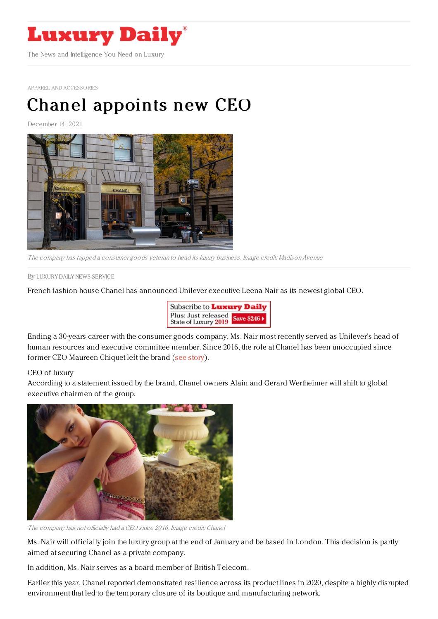

APPAREL AND [ACCESSORIES](https://www.luxurydaily.com/category/sectors/apparel-and-accessories/)

## Chanel [appoints](https://www.luxurydaily.com/chanel-appoints-new-ceo/) new CEO

December 14, 2021



The company has tapped a consumer goods veteran to head its luxury business. Image credit: Madison Avenue

By LUXURY DAILY NEWS [SERVICE](file:///author/luxury-daily-news-service)

French fashion house Chanel has announced Unilever executive Leena Nair as its newest global CEO.



Ending a 30-years career with the consumer goods company, Ms. Nair most recently served as Unilever's head of human resources and executive committee member. Since 2016, the role at Chanel has been unoccupied since former CEO Maureen Chiquet left the brand (see [story](https://www.luxurydaily.com/chanel-ceo-exits-over-strategic-differences/)).

## CEO of luxury

According to a statement issued by the brand, Chanel owners Alain and Gerard Wertheimer will shift to global executive chairmen of the group.



The company has not officially had a CEO since 2016. Image credit: Chanel

Ms. Nair will officially join the luxury group at the end of January and be based in London. This decision is partly aimed at securing Chanel as a private company.

In addition, Ms. Nair serves as a board member of British Telecom.

Earlier this year, Chanel reported demonstrated resilience across its product lines in 2020, despite a highly disrupted environment that led to the temporary closure of its boutique and manufacturing network.